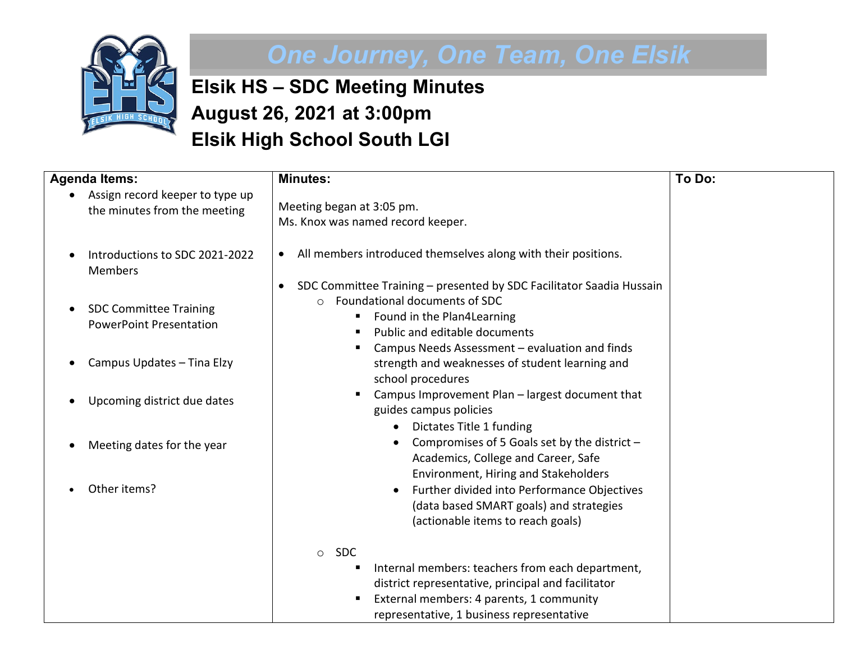

## *One Journey, One Team, One Elsik*

**Elsik HS – SDC Meeting Minutes August 26, 2021 at 3:00pm Elsik High School South LGI**

| <b>Agenda Items:</b>                                            | <b>Minutes:</b>                                                                                                                                                                                          | To Do: |
|-----------------------------------------------------------------|----------------------------------------------------------------------------------------------------------------------------------------------------------------------------------------------------------|--------|
| Assign record keeper to type up<br>the minutes from the meeting | Meeting began at 3:05 pm.                                                                                                                                                                                |        |
|                                                                 | Ms. Knox was named record keeper.                                                                                                                                                                        |        |
| Introductions to SDC 2021-2022<br><b>Members</b>                | All members introduced themselves along with their positions.<br>$\bullet$                                                                                                                               |        |
| <b>SDC Committee Training</b><br><b>PowerPoint Presentation</b> | SDC Committee Training - presented by SDC Facilitator Saadia Hussain<br>$\bullet$<br>Foundational documents of SDC<br>$\bigcap$<br>Found in the Plan4Learning<br>п<br>Public and editable documents<br>п |        |
| Campus Updates - Tina Elzy                                      | Campus Needs Assessment - evaluation and finds<br>п<br>strength and weaknesses of student learning and<br>school procedures                                                                              |        |
| Upcoming district due dates                                     | Campus Improvement Plan - largest document that<br>guides campus policies                                                                                                                                |        |
| Meeting dates for the year                                      | Dictates Title 1 funding<br>$\bullet$<br>Compromises of 5 Goals set by the district -<br>Academics, College and Career, Safe<br>Environment, Hiring and Stakeholders                                     |        |
| Other items?                                                    | Further divided into Performance Objectives<br>(data based SMART goals) and strategies<br>(actionable items to reach goals)                                                                              |        |
|                                                                 | <b>SDC</b><br>$\circ$                                                                                                                                                                                    |        |
|                                                                 | Internal members: teachers from each department,<br>п<br>district representative, principal and facilitator                                                                                              |        |
|                                                                 | External members: 4 parents, 1 community<br>representative, 1 business representative                                                                                                                    |        |